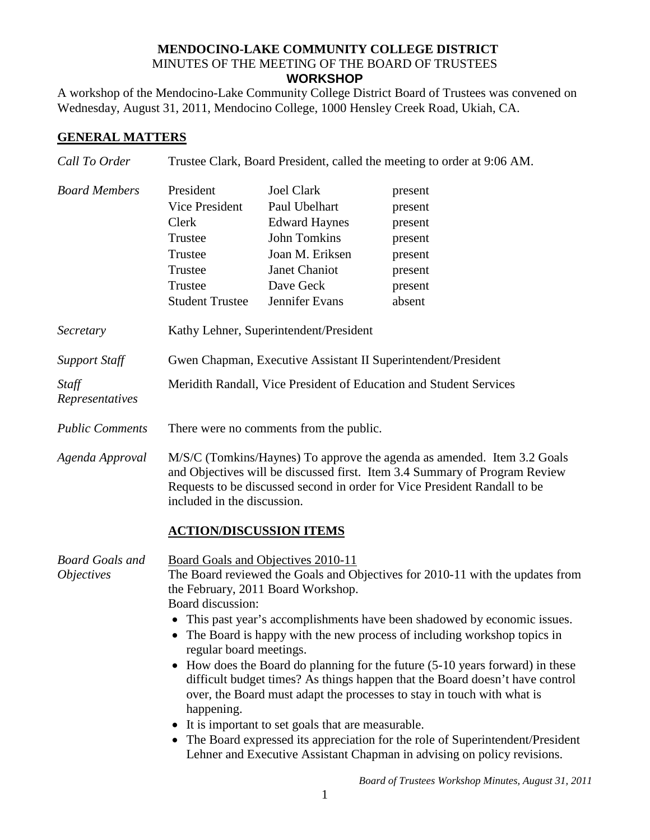## **MENDOCINO-LAKE COMMUNITY COLLEGE DISTRICT** MINUTES OF THE MEETING OF THE BOARD OF TRUSTEES **WORKSHOP**

A workshop of the Mendocino-Lake Community College District Board of Trustees was convened on Wednesday, August 31, 2011, Mendocino College, 1000 Hensley Creek Road, Ukiah, CA.

## **GENERAL MATTERS**

| Call To Order                               | Trustee Clark, Board President, called the meeting to order at 9:06 AM.                                                                                                                                                                                                                                                                                                                                                                                                                                                                                                                                                                                                                                                                                                                                                                                  |                                                                                                                                                      |                                                                                     |
|---------------------------------------------|----------------------------------------------------------------------------------------------------------------------------------------------------------------------------------------------------------------------------------------------------------------------------------------------------------------------------------------------------------------------------------------------------------------------------------------------------------------------------------------------------------------------------------------------------------------------------------------------------------------------------------------------------------------------------------------------------------------------------------------------------------------------------------------------------------------------------------------------------------|------------------------------------------------------------------------------------------------------------------------------------------------------|-------------------------------------------------------------------------------------|
| <b>Board Members</b>                        | President<br>Vice President<br>Clerk<br>Trustee<br>Trustee<br>Trustee<br>Trustee<br><b>Student Trustee</b>                                                                                                                                                                                                                                                                                                                                                                                                                                                                                                                                                                                                                                                                                                                                               | <b>Joel Clark</b><br>Paul Ubelhart<br><b>Edward Haynes</b><br><b>John Tomkins</b><br>Joan M. Eriksen<br>Janet Chaniot<br>Dave Geck<br>Jennifer Evans | present<br>present<br>present<br>present<br>present<br>present<br>present<br>absent |
| Secretary                                   | Kathy Lehner, Superintendent/President                                                                                                                                                                                                                                                                                                                                                                                                                                                                                                                                                                                                                                                                                                                                                                                                                   |                                                                                                                                                      |                                                                                     |
| <b>Support Staff</b>                        | Gwen Chapman, Executive Assistant II Superintendent/President                                                                                                                                                                                                                                                                                                                                                                                                                                                                                                                                                                                                                                                                                                                                                                                            |                                                                                                                                                      |                                                                                     |
| Staff<br>Representatives                    | Meridith Randall, Vice President of Education and Student Services                                                                                                                                                                                                                                                                                                                                                                                                                                                                                                                                                                                                                                                                                                                                                                                       |                                                                                                                                                      |                                                                                     |
| <b>Public Comments</b>                      | There were no comments from the public.                                                                                                                                                                                                                                                                                                                                                                                                                                                                                                                                                                                                                                                                                                                                                                                                                  |                                                                                                                                                      |                                                                                     |
| Agenda Approval                             | M/S/C (Tomkins/Haynes) To approve the agenda as amended. Item 3.2 Goals<br>and Objectives will be discussed first. Item 3.4 Summary of Program Review<br>Requests to be discussed second in order for Vice President Randall to be<br>included in the discussion.<br><b>ACTION/DISCUSSION ITEMS</b>                                                                                                                                                                                                                                                                                                                                                                                                                                                                                                                                                      |                                                                                                                                                      |                                                                                     |
| <b>Board Goals and</b><br><i>Objectives</i> | Board Goals and Objectives 2010-11<br>The Board reviewed the Goals and Objectives for 2010-11 with the updates from<br>the February, 2011 Board Workshop.<br>Board discussion:<br>• This past year's accomplishments have been shadowed by economic issues.<br>The Board is happy with the new process of including workshop topics in<br>regular board meetings.<br>How does the Board do planning for the future (5-10 years forward) in these<br>$\bullet$<br>difficult budget times? As things happen that the Board doesn't have control<br>over, the Board must adapt the processes to stay in touch with what is<br>happening.<br>It is important to set goals that are measurable.<br>• The Board expressed its appreciation for the role of Superintendent/President<br>Lehner and Executive Assistant Chapman in advising on policy revisions. |                                                                                                                                                      |                                                                                     |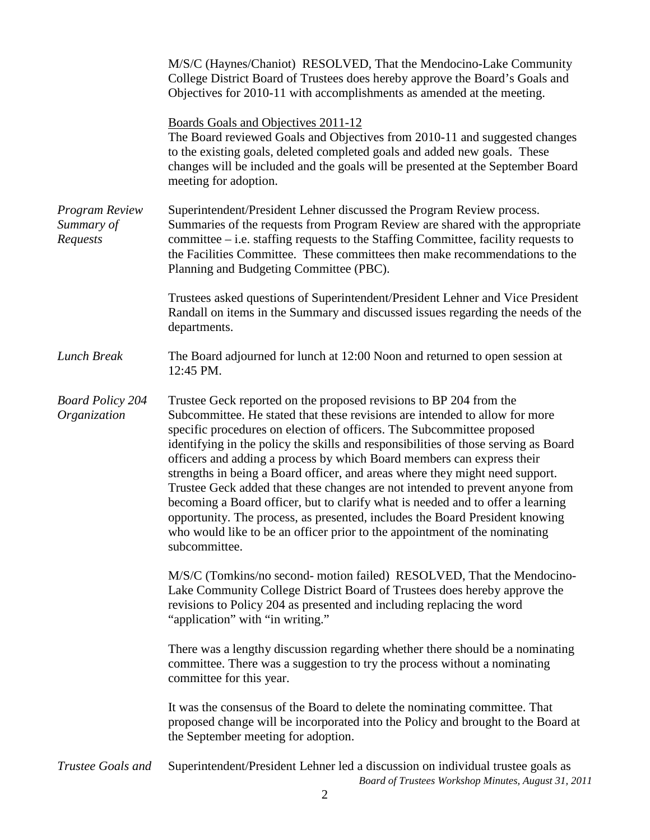|                                          | M/S/C (Haynes/Chaniot) RESOLVED, That the Mendocino-Lake Community<br>College District Board of Trustees does hereby approve the Board's Goals and<br>Objectives for 2010-11 with accomplishments as amended at the meeting.                                                                                                                                                                                                                                                                                                                                                                                                                                                                                                                                                                                                    |  |  |
|------------------------------------------|---------------------------------------------------------------------------------------------------------------------------------------------------------------------------------------------------------------------------------------------------------------------------------------------------------------------------------------------------------------------------------------------------------------------------------------------------------------------------------------------------------------------------------------------------------------------------------------------------------------------------------------------------------------------------------------------------------------------------------------------------------------------------------------------------------------------------------|--|--|
|                                          | <b>Boards Goals and Objectives 2011-12</b><br>The Board reviewed Goals and Objectives from 2010-11 and suggested changes<br>to the existing goals, deleted completed goals and added new goals. These<br>changes will be included and the goals will be presented at the September Board<br>meeting for adoption.                                                                                                                                                                                                                                                                                                                                                                                                                                                                                                               |  |  |
| Program Review<br>Summary of<br>Requests | Superintendent/President Lehner discussed the Program Review process.<br>Summaries of the requests from Program Review are shared with the appropriate<br>committee $-$ i.e. staffing requests to the Staffing Committee, facility requests to<br>the Facilities Committee. These committees then make recommendations to the<br>Planning and Budgeting Committee (PBC).                                                                                                                                                                                                                                                                                                                                                                                                                                                        |  |  |
|                                          | Trustees asked questions of Superintendent/President Lehner and Vice President<br>Randall on items in the Summary and discussed issues regarding the needs of the<br>departments.                                                                                                                                                                                                                                                                                                                                                                                                                                                                                                                                                                                                                                               |  |  |
| Lunch Break                              | The Board adjourned for lunch at 12:00 Noon and returned to open session at<br>12:45 PM.                                                                                                                                                                                                                                                                                                                                                                                                                                                                                                                                                                                                                                                                                                                                        |  |  |
| <b>Board Policy 204</b><br>Organization  | Trustee Geck reported on the proposed revisions to BP 204 from the<br>Subcommittee. He stated that these revisions are intended to allow for more<br>specific procedures on election of officers. The Subcommittee proposed<br>identifying in the policy the skills and responsibilities of those serving as Board<br>officers and adding a process by which Board members can express their<br>strengths in being a Board officer, and areas where they might need support.<br>Trustee Geck added that these changes are not intended to prevent anyone from<br>becoming a Board officer, but to clarify what is needed and to offer a learning<br>opportunity. The process, as presented, includes the Board President knowing<br>who would like to be an officer prior to the appointment of the nominating<br>subcommittee. |  |  |
|                                          | M/S/C (Tomkins/no second- motion failed) RESOLVED, That the Mendocino-<br>Lake Community College District Board of Trustees does hereby approve the<br>revisions to Policy 204 as presented and including replacing the word<br>"application" with "in writing."                                                                                                                                                                                                                                                                                                                                                                                                                                                                                                                                                                |  |  |
|                                          | There was a lengthy discussion regarding whether there should be a nominating<br>committee. There was a suggestion to try the process without a nominating<br>committee for this year.                                                                                                                                                                                                                                                                                                                                                                                                                                                                                                                                                                                                                                          |  |  |
|                                          | It was the consensus of the Board to delete the nominating committee. That<br>proposed change will be incorporated into the Policy and brought to the Board at<br>the September meeting for adoption.                                                                                                                                                                                                                                                                                                                                                                                                                                                                                                                                                                                                                           |  |  |
| Trustee Goals and                        | Superintendent/President Lehner led a discussion on individual trustee goals as<br>Board of Trustees Workshop Minutes, August 31, 2011                                                                                                                                                                                                                                                                                                                                                                                                                                                                                                                                                                                                                                                                                          |  |  |